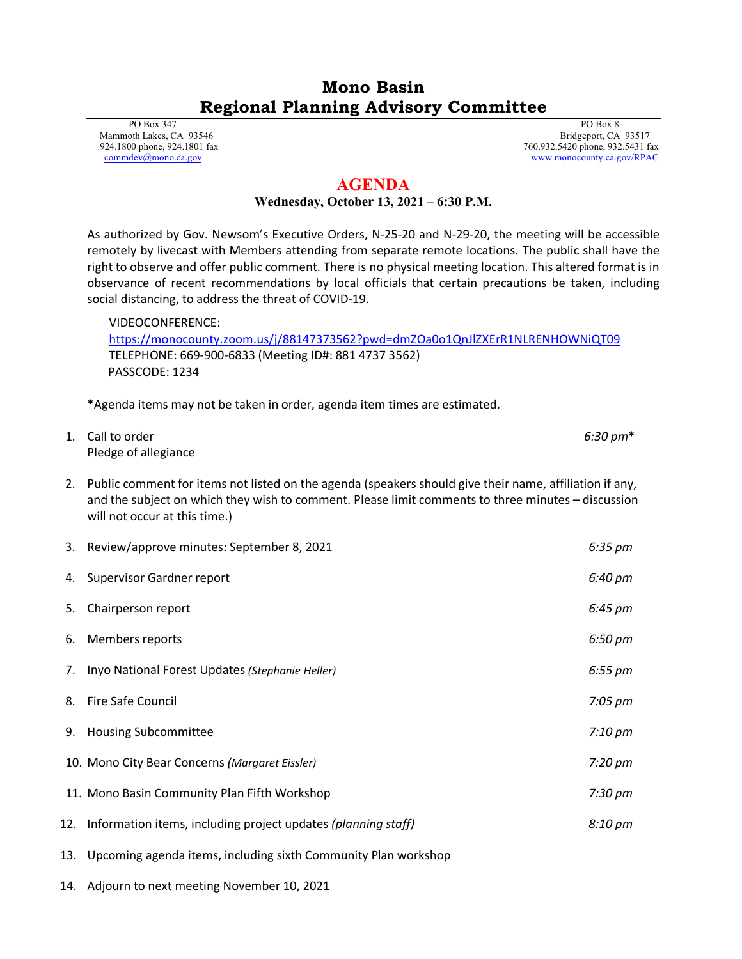## **Mono Basin Regional Planning Advisory Committee**

 PO Box 347 Mammoth Lakes, CA 93546 .924.1800 phone, 924.1801 fax [commdev@mono.ca.gov](mailto:commdev@mono.ca.gov)

 PO Box 8 Bridgeport, CA 93517 760.932.5420 phone, 932.5431 fax www.monocounty.ca.gov/RPAC

## **AGENDA**

## **Wednesday, October 13, 2021 – 6:30 P.M.**

As authorized by Gov. Newsom's Executive Orders, N-25-20 and N-29-20, the meeting will be accessible remotely by livecast with Members attending from separate remote locations. The public shall have the right to observe and offer public comment. There is no physical meeting location. This altered format is in observance of recent recommendations by local officials that certain precautions be taken, including social distancing, to address the threat of COVID-19.

VIDEOCONFERENCE: <https://monocounty.zoom.us/j/88147373562?pwd=dmZOa0o1QnJlZXErR1NLRENHOWNiQT09> TELEPHONE: 669-900-6833 (Meeting ID#: 881 4737 3562) PASSCODE: 1234

\*Agenda items may not be taken in order, agenda item times are estimated.

| 1. Call to order     | $6:30 \text{ pm*}$ |
|----------------------|--------------------|
| Pledge of allegiance |                    |

2. Public comment for items not listed on the agenda (speakers should give their name, affiliation if any, and the subject on which they wish to comment. Please limit comments to three minutes – discussion will not occur at this time.)

|    | 3. Review/approve minutes: September 8, 2021                       | $6:35 \text{ pm}$ |
|----|--------------------------------------------------------------------|-------------------|
|    | 4. Supervisor Gardner report                                       | 6:40 pm           |
| 5. | Chairperson report                                                 | 6:45 pm           |
| 6. | Members reports                                                    | 6:50 pm           |
|    | 7. Inyo National Forest Updates (Stephanie Heller)                 | $6:55 \text{ pm}$ |
| 8. | <b>Fire Safe Council</b>                                           | 7:05 pm           |
| 9. | <b>Housing Subcommittee</b>                                        | 7:10 pm           |
|    | 10. Mono City Bear Concerns (Margaret Eissler)                     | 7:20 pm           |
|    | 11. Mono Basin Community Plan Fifth Workshop                       | 7:30 pm           |
|    | 12. Information items, including project updates (planning staff)  | 8:10 pm           |
|    | 13. Upcoming agenda items, including sixth Community Plan workshop |                   |

14. Adjourn to next meeting November 10, 2021